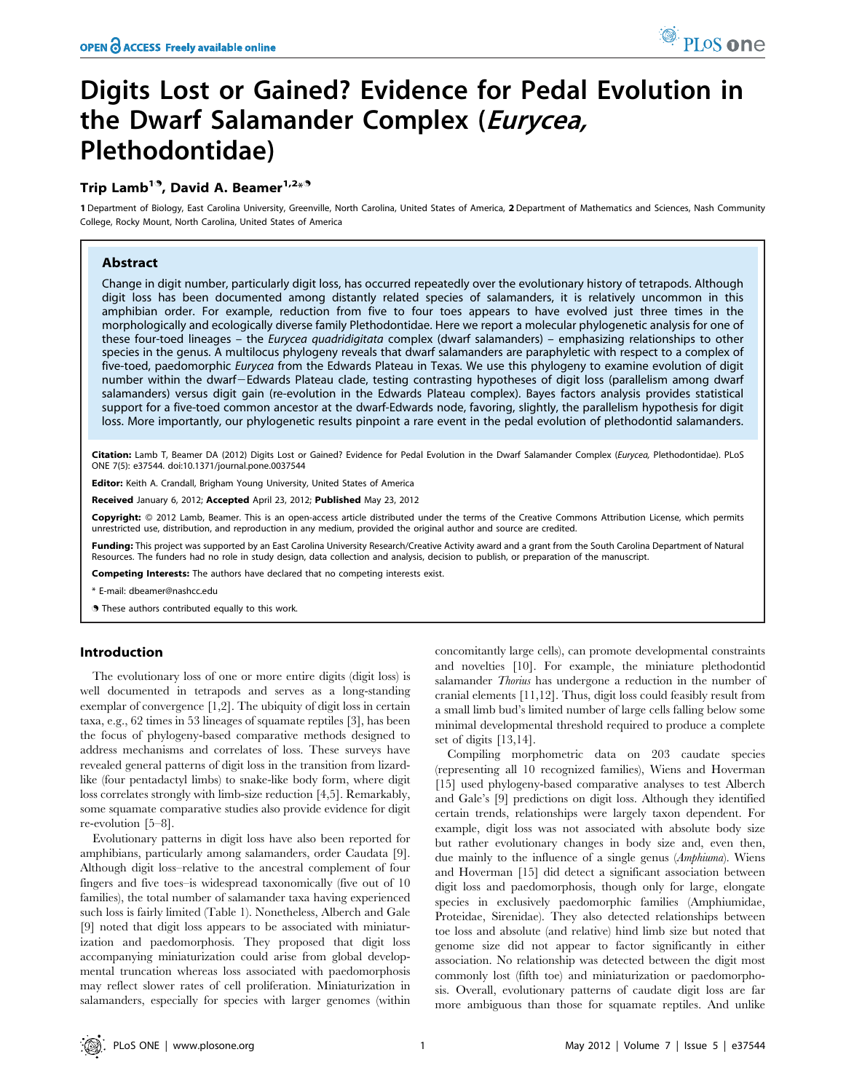# Digits Lost or Gained? Evidence for Pedal Evolution in the Dwarf Salamander Complex (Eurycea, Plethodontidae)

## Trip Lamb $^{1\,9}$ , David A. Beamer $^{1,2_\star\circ9}$

1 Department of Biology, East Carolina University, Greenville, North Carolina, United States of America, 2 Department of Mathematics and Sciences, Nash Community College, Rocky Mount, North Carolina, United States of America

## Abstract

Change in digit number, particularly digit loss, has occurred repeatedly over the evolutionary history of tetrapods. Although digit loss has been documented among distantly related species of salamanders, it is relatively uncommon in this amphibian order. For example, reduction from five to four toes appears to have evolved just three times in the morphologically and ecologically diverse family Plethodontidae. Here we report a molecular phylogenetic analysis for one of these four-toed lineages – the Eurycea quadridigitata complex (dwarf salamanders) – emphasizing relationships to other species in the genus. A multilocus phylogeny reveals that dwarf salamanders are paraphyletic with respect to a complex of five-toed, paedomorphic Eurycea from the Edwards Plateau in Texas. We use this phylogeny to examine evolution of digit number within the dwarf-Edwards Plateau clade, testing contrasting hypotheses of digit loss (parallelism among dwarf salamanders) versus digit gain (re-evolution in the Edwards Plateau complex). Bayes factors analysis provides statistical support for a five-toed common ancestor at the dwarf-Edwards node, favoring, slightly, the parallelism hypothesis for digit loss. More importantly, our phylogenetic results pinpoint a rare event in the pedal evolution of plethodontid salamanders.

Citation: Lamb T, Beamer DA (2012) Digits Lost or Gained? Evidence for Pedal Evolution in the Dwarf Salamander Complex (Eurycea, Plethodontidae). PLoS ONE 7(5): e37544. doi:10.1371/journal.pone.0037544

Editor: Keith A. Crandall, Brigham Young University, United States of America

Received January 6, 2012; Accepted April 23, 2012; Published May 23, 2012

Copyright: © 2012 Lamb, Beamer. This is an open-access article distributed under the terms of the Creative Commons Attribution License, which permits unrestricted use, distribution, and reproduction in any medium, provided the original author and source are credited.

Funding: This project was supported by an East Carolina University Research/Creative Activity award and a grant from the South Carolina Department of Natural Resources. The funders had no role in study design, data collection and analysis, decision to publish, or preparation of the manuscript.

Competing Interests: The authors have declared that no competing interests exist.

\* E-mail: dbeamer@nashcc.edu

. These authors contributed equally to this work.

## Introduction

The evolutionary loss of one or more entire digits (digit loss) is well documented in tetrapods and serves as a long-standing exemplar of convergence [1,2]. The ubiquity of digit loss in certain taxa, e.g., 62 times in 53 lineages of squamate reptiles [3], has been the focus of phylogeny-based comparative methods designed to address mechanisms and correlates of loss. These surveys have revealed general patterns of digit loss in the transition from lizardlike (four pentadactyl limbs) to snake-like body form, where digit loss correlates strongly with limb-size reduction [4,5]. Remarkably, some squamate comparative studies also provide evidence for digit re-evolution [5–8].

Evolutionary patterns in digit loss have also been reported for amphibians, particularly among salamanders, order Caudata [9]. Although digit loss–relative to the ancestral complement of four fingers and five toes–is widespread taxonomically (five out of 10 families), the total number of salamander taxa having experienced such loss is fairly limited (Table 1). Nonetheless, Alberch and Gale [9] noted that digit loss appears to be associated with miniaturization and paedomorphosis. They proposed that digit loss accompanying miniaturization could arise from global developmental truncation whereas loss associated with paedomorphosis may reflect slower rates of cell proliferation. Miniaturization in salamanders, especially for species with larger genomes (within concomitantly large cells), can promote developmental constraints and novelties [10]. For example, the miniature plethodontid salamander *Thorius* has undergone a reduction in the number of cranial elements [11,12]. Thus, digit loss could feasibly result from a small limb bud's limited number of large cells falling below some minimal developmental threshold required to produce a complete set of digits [13,14].

Compiling morphometric data on 203 caudate species (representing all 10 recognized families), Wiens and Hoverman [15] used phylogeny-based comparative analyses to test Alberch and Gale's [9] predictions on digit loss. Although they identified certain trends, relationships were largely taxon dependent. For example, digit loss was not associated with absolute body size but rather evolutionary changes in body size and, even then, due mainly to the influence of a single genus (Amphiuma). Wiens and Hoverman [15] did detect a significant association between digit loss and paedomorphosis, though only for large, elongate species in exclusively paedomorphic families (Amphiumidae, Proteidae, Sirenidae). They also detected relationships between toe loss and absolute (and relative) hind limb size but noted that genome size did not appear to factor significantly in either association. No relationship was detected between the digit most commonly lost (fifth toe) and miniaturization or paedomorphosis. Overall, evolutionary patterns of caudate digit loss are far more ambiguous than those for squamate reptiles. And unlike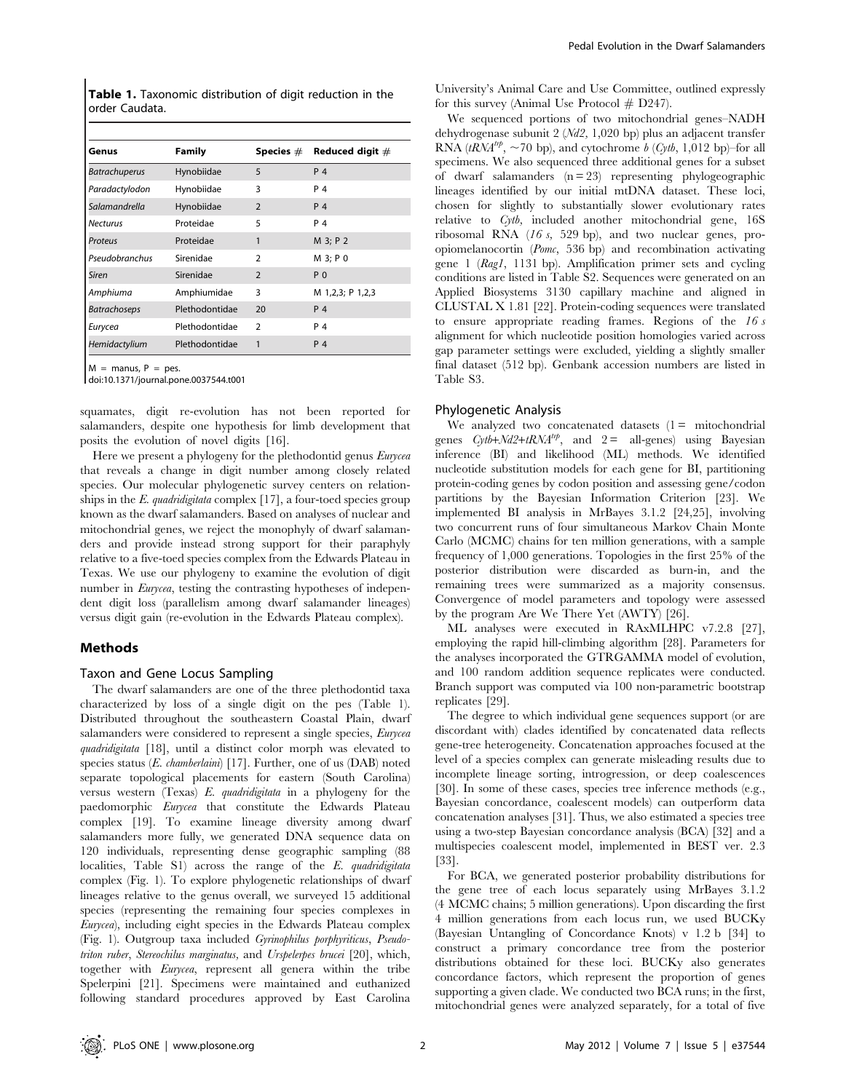Table 1. Taxonomic distribution of digit reduction in the order Caudata.

| Genus                | <b>Family</b>  | Species $#$    | Reduced digit $#$ |
|----------------------|----------------|----------------|-------------------|
| <b>Batrachuperus</b> | Hynobiidae     | 5              | P 4               |
| Paradactylodon       | Hynobiidae     | 3              | P 4               |
| Salamandrella        | Hynobiidae     | $\overline{2}$ | P 4               |
| <b>Necturus</b>      | Proteidae      | 5              | P 4               |
| Proteus              | Proteidae      | 1              | M 3; P 2          |
| Pseudobranchus       | Sirenidae      | $\overline{2}$ | M 3; P 0          |
| Siren                | Sirenidae      | $\overline{2}$ | P <sub>0</sub>    |
| Amphiuma             | Amphiumidae    | 3              | M 1,2,3; P 1,2,3  |
| <b>Batrachoseps</b>  | Plethodontidae | 20             | P 4               |
| Eurycea              | Plethodontidae | $\overline{2}$ | P 4               |
| Hemidactylium        | Plethodontidae |                | P 4               |

 $M =$  manus,  $P =$  pes.

doi:10.1371/journal.pone.0037544.t001

squamates, digit re-evolution has not been reported for salamanders, despite one hypothesis for limb development that posits the evolution of novel digits [16].

Here we present a phylogeny for the plethodontid genus Eurycea that reveals a change in digit number among closely related species. Our molecular phylogenetic survey centers on relationships in the  $E.$  quadridigitata complex [17], a four-toed species group known as the dwarf salamanders. Based on analyses of nuclear and mitochondrial genes, we reject the monophyly of dwarf salamanders and provide instead strong support for their paraphyly relative to a five-toed species complex from the Edwards Plateau in Texas. We use our phylogeny to examine the evolution of digit number in *Eurycea*, testing the contrasting hypotheses of independent digit loss (parallelism among dwarf salamander lineages) versus digit gain (re-evolution in the Edwards Plateau complex).

## Methods

#### Taxon and Gene Locus Sampling

The dwarf salamanders are one of the three plethodontid taxa characterized by loss of a single digit on the pes (Table 1). Distributed throughout the southeastern Coastal Plain, dwarf salamanders were considered to represent a single species, Eurycea quadridigitata [18], until a distinct color morph was elevated to species status  $(E. \; \text{chamberlain})$  [17]. Further, one of us  $(DAB)$  noted separate topological placements for eastern (South Carolina) versus western (Texas) E. quadridigitata in a phylogeny for the paedomorphic Eurycea that constitute the Edwards Plateau complex [19]. To examine lineage diversity among dwarf salamanders more fully, we generated DNA sequence data on 120 individuals, representing dense geographic sampling (88 localities, Table S1) across the range of the E. quadridigitata complex (Fig. 1). To explore phylogenetic relationships of dwarf lineages relative to the genus overall, we surveyed 15 additional species (representing the remaining four species complexes in Eurycea), including eight species in the Edwards Plateau complex (Fig. 1). Outgroup taxa included Gyrinophilus porphyriticus, Pseudotriton ruber, Stereochilus marginatus, and Urspelerpes brucei [20], which, together with Eurycea, represent all genera within the tribe Spelerpini [21]. Specimens were maintained and euthanized following standard procedures approved by East Carolina

University's Animal Care and Use Committee, outlined expressly for this survey (Animal Use Protocol  $# D247$ ).

We sequenced portions of two mitochondrial genes–NADH dehydrogenase subunit 2 (Nd2, 1,020 bp) plus an adjacent transfer RNA (tRM<sup>trp</sup>,  $\sim$  70 bp), and cytochrome b (Cytb, 1,012 bp)–for all specimens. We also sequenced three additional genes for a subset of dwarf salamanders  $(n = 23)$  representing phylogeographic lineages identified by our initial mtDNA dataset. These loci, chosen for slightly to substantially slower evolutionary rates relative to Cytb, included another mitochondrial gene, 16S ribosomal RNA (16 s, 529 bp), and two nuclear genes, proopiomelanocortin (Pomc, 536 bp) and recombination activating gene 1 (Rag1, 1131 bp). Amplification primer sets and cycling conditions are listed in Table S2. Sequences were generated on an Applied Biosystems 3130 capillary machine and aligned in CLUSTAL X 1.81 [22]. Protein-coding sequences were translated to ensure appropriate reading frames. Regions of the  $16 s$ alignment for which nucleotide position homologies varied across gap parameter settings were excluded, yielding a slightly smaller final dataset (512 bp). Genbank accession numbers are listed in Table S3.

#### Phylogenetic Analysis

We analyzed two concatenated datasets  $(1 = 1)$  mitochondrial genes  $Cytb+Nd2+tRNA^{trp}$ , and  $2 =$  all-genes) using Bayesian inference (BI) and likelihood (ML) methods. We identified nucleotide substitution models for each gene for BI, partitioning protein-coding genes by codon position and assessing gene/codon partitions by the Bayesian Information Criterion [23]. We implemented BI analysis in MrBayes 3.1.2 [24,25], involving two concurrent runs of four simultaneous Markov Chain Monte Carlo (MCMC) chains for ten million generations, with a sample frequency of 1,000 generations. Topologies in the first 25% of the posterior distribution were discarded as burn-in, and the remaining trees were summarized as a majority consensus. Convergence of model parameters and topology were assessed by the program Are We There Yet (AWTY) [26].

ML analyses were executed in RAxMLHPC v7.2.8 [27], employing the rapid hill-climbing algorithm [28]. Parameters for the analyses incorporated the GTRGAMMA model of evolution, and 100 random addition sequence replicates were conducted. Branch support was computed via 100 non-parametric bootstrap replicates [29].

The degree to which individual gene sequences support (or are discordant with) clades identified by concatenated data reflects gene-tree heterogeneity. Concatenation approaches focused at the level of a species complex can generate misleading results due to incomplete lineage sorting, introgression, or deep coalescences [30]. In some of these cases, species tree inference methods (e.g., Bayesian concordance, coalescent models) can outperform data concatenation analyses [31]. Thus, we also estimated a species tree using a two-step Bayesian concordance analysis (BCA) [32] and a multispecies coalescent model, implemented in BEST ver. 2.3 [33].

For BCA, we generated posterior probability distributions for the gene tree of each locus separately using MrBayes 3.1.2 (4 MCMC chains; 5 million generations). Upon discarding the first 4 million generations from each locus run, we used BUCKy (Bayesian Untangling of Concordance Knots) v 1.2 b [34] to construct a primary concordance tree from the posterior distributions obtained for these loci. BUCKy also generates concordance factors, which represent the proportion of genes supporting a given clade. We conducted two BCA runs; in the first, mitochondrial genes were analyzed separately, for a total of five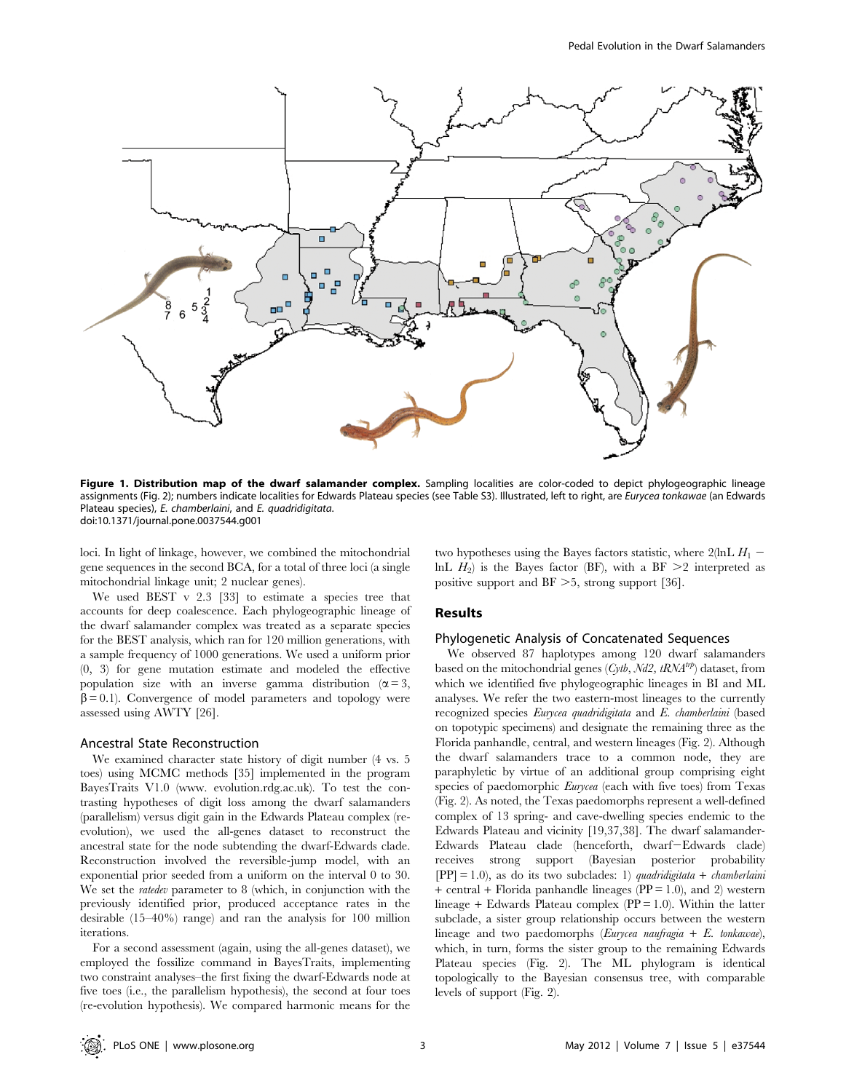

Figure 1. Distribution map of the dwarf salamander complex. Sampling localities are color-coded to depict phylogeographic lineage assignments (Fig. 2); numbers indicate localities for Edwards Plateau species (see Table S3). Illustrated, left to right, are Eurycea tonkawae (an Edwards Plateau species), E. chamberlaini, and E. quadridigitata. doi:10.1371/journal.pone.0037544.g001

loci. In light of linkage, however, we combined the mitochondrial gene sequences in the second BCA, for a total of three loci (a single mitochondrial linkage unit; 2 nuclear genes).

two hypotheses using the Bayes factors statistic, where  $2(\ln L H_1$ lnL  $H_2$ ) is the Bayes factor (BF), with a BF  $\geq 2$  interpreted as positive support and  $BF > 5$ , strong support [36].

We used BEST v 2.3 [33] to estimate a species tree that accounts for deep coalescence. Each phylogeographic lineage of the dwarf salamander complex was treated as a separate species for the BEST analysis, which ran for 120 million generations, with a sample frequency of 1000 generations. We used a uniform prior (0, 3) for gene mutation estimate and modeled the effective population size with an inverse gamma distribution ( $\alpha = 3$ ,  $\beta$  = 0.1). Convergence of model parameters and topology were assessed using AWTY [26].

## Ancestral State Reconstruction

We examined character state history of digit number (4 vs. 5 toes) using MCMC methods [35] implemented in the program BayesTraits V1.0 (www. evolution.rdg.ac.uk). To test the contrasting hypotheses of digit loss among the dwarf salamanders (parallelism) versus digit gain in the Edwards Plateau complex (reevolution), we used the all-genes dataset to reconstruct the ancestral state for the node subtending the dwarf-Edwards clade. Reconstruction involved the reversible-jump model, with an exponential prior seeded from a uniform on the interval 0 to 30. We set the ratedev parameter to 8 (which, in conjunction with the previously identified prior, produced acceptance rates in the desirable (15–40%) range) and ran the analysis for 100 million iterations.

For a second assessment (again, using the all-genes dataset), we employed the fossilize command in BayesTraits, implementing two constraint analyses–the first fixing the dwarf-Edwards node at five toes (i.e., the parallelism hypothesis), the second at four toes (re-evolution hypothesis). We compared harmonic means for the

#### Results

## Phylogenetic Analysis of Concatenated Sequences

We observed 87 haplotypes among 120 dwarf salamanders based on the mitochondrial genes (Cytb,  $Nd2$ , tRNA<sup>trp</sup>) dataset, from which we identified five phylogeographic lineages in BI and ML analyses. We refer the two eastern-most lineages to the currently recognized species Eurycea quadridigitata and E. chamberlaini (based on topotypic specimens) and designate the remaining three as the Florida panhandle, central, and western lineages (Fig. 2). Although the dwarf salamanders trace to a common node, they are paraphyletic by virtue of an additional group comprising eight species of paedomorphic *Eurycea* (each with five toes) from Texas (Fig. 2). As noted, the Texas paedomorphs represent a well-defined complex of 13 spring- and cave-dwelling species endemic to the Edwards Plateau and vicinity [19,37,38]. The dwarf salamander-Edwards Plateau clade (henceforth, dwarf-Edwards clade) receives strong support (Bayesian posterior probability  $[PP] = 1.0$ , as do its two subclades: 1) quadridigitata + chamberlaini + central + Florida panhandle lineages (PP = 1.0), and 2) western lineage + Edwards Plateau complex ( $PP = 1.0$ ). Within the latter subclade, a sister group relationship occurs between the western lineage and two paedomorphs (Eurycea naufragia + E. tonkawae), which, in turn, forms the sister group to the remaining Edwards Plateau species (Fig. 2). The ML phylogram is identical topologically to the Bayesian consensus tree, with comparable levels of support (Fig. 2).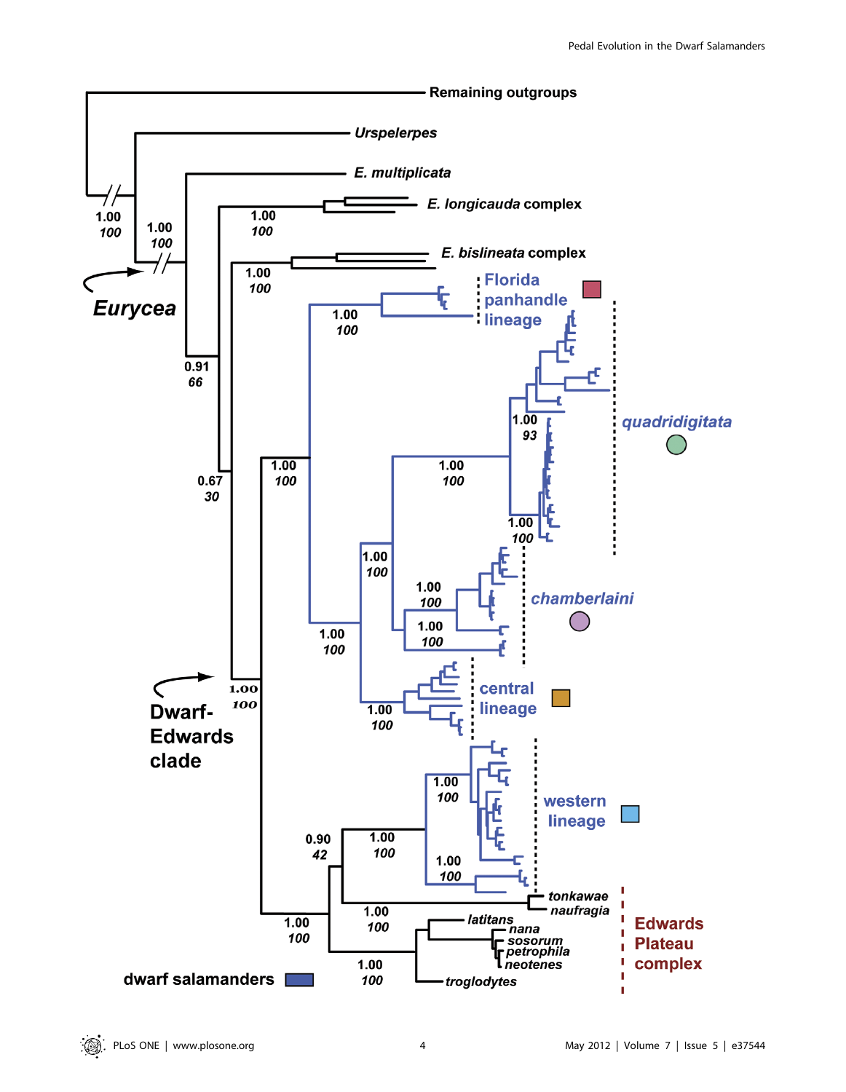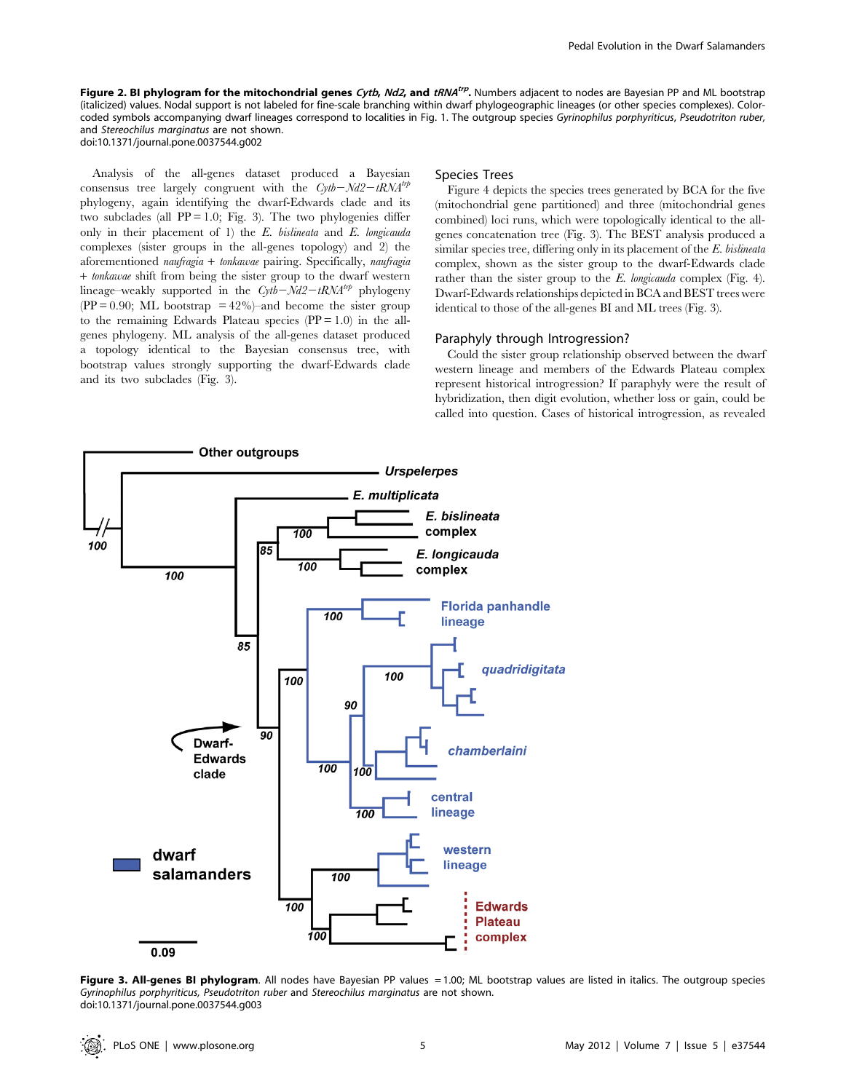Figure 2. BI phylogram for the mitochondrial genes Cytb, Nd2, and tRNA<sup>trp</sup>. Numbers adjacent to nodes are Bayesian PP and ML bootstrap (italicized) values. Nodal support is not labeled for fine-scale branching within dwarf phylogeographic lineages (or other species complexes). Colorcoded symbols accompanying dwarf lineages correspond to localities in Fig. 1. The outgroup species Gyrinophilus porphyriticus, Pseudotriton ruber, and Stereochilus marginatus are not shown. doi:10.1371/journal.pone.0037544.g002

Analysis of the all-genes dataset produced a Bayesian consensus tree largely congruent with the  $Cytb-Nd2-tRNA^{trp}$ phylogeny, again identifying the dwarf-Edwards clade and its two subclades (all  $PP = 1.0$ ; Fig. 3). The two phylogenies differ only in their placement of 1) the E. bislineata and E. longicauda complexes (sister groups in the all-genes topology) and 2) the aforementioned naufragia + tonkawae pairing. Specifically, naufragia + tonkawae shift from being the sister group to the dwarf western lineage–weakly supported in the  $Cytb-Nd2-tRNA^{trp}$  phylogeny  $(PP = 0.90; ML bootstrap = 42\%)$  and become the sister group to the remaining Edwards Plateau species  $(PP = 1.0)$  in the allgenes phylogeny. ML analysis of the all-genes dataset produced a topology identical to the Bayesian consensus tree, with bootstrap values strongly supporting the dwarf-Edwards clade and its two subclades (Fig. 3).

#### Species Trees

Figure 4 depicts the species trees generated by BCA for the five (mitochondrial gene partitioned) and three (mitochondrial genes combined) loci runs, which were topologically identical to the allgenes concatenation tree (Fig. 3). The BEST analysis produced a similar species tree, differing only in its placement of the E. bislineata complex, shown as the sister group to the dwarf-Edwards clade rather than the sister group to the E. longicauda complex (Fig. 4). Dwarf-Edwards relationships depicted in BCA and BEST trees were identical to those of the all-genes BI and ML trees (Fig. 3).

## Paraphyly through Introgression?

Could the sister group relationship observed between the dwarf western lineage and members of the Edwards Plateau complex represent historical introgression? If paraphyly were the result of hybridization, then digit evolution, whether loss or gain, could be called into question. Cases of historical introgression, as revealed



Figure 3. All-genes BI phylogram. All nodes have Bayesian PP values = 1.00; ML bootstrap values are listed in italics. The outgroup species Gyrinophilus porphyriticus, Pseudotriton ruber and Stereochilus marginatus are not shown. doi:10.1371/journal.pone.0037544.g003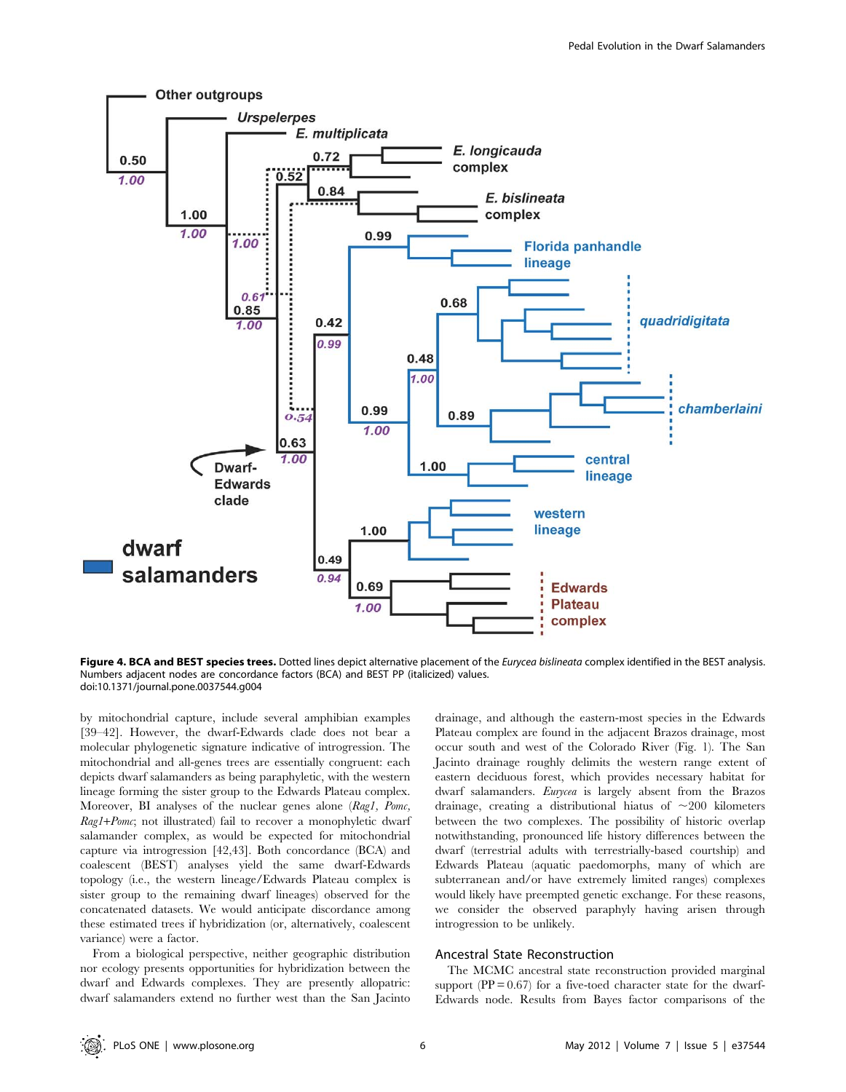

Figure 4. BCA and BEST species trees. Dotted lines depict alternative placement of the Eurycea bislineata complex identified in the BEST analysis. Numbers adjacent nodes are concordance factors (BCA) and BEST PP (italicized) values. doi:10.1371/journal.pone.0037544.g004

by mitochondrial capture, include several amphibian examples [39–42]. However, the dwarf-Edwards clade does not bear a molecular phylogenetic signature indicative of introgression. The mitochondrial and all-genes trees are essentially congruent: each depicts dwarf salamanders as being paraphyletic, with the western lineage forming the sister group to the Edwards Plateau complex. Moreover, BI analyses of the nuclear genes alone (Rag1, Pomc, Rag1+Pomc; not illustrated) fail to recover a monophyletic dwarf salamander complex, as would be expected for mitochondrial capture via introgression [42,43]. Both concordance (BCA) and coalescent (BEST) analyses yield the same dwarf-Edwards topology (i.e., the western lineage/Edwards Plateau complex is sister group to the remaining dwarf lineages) observed for the concatenated datasets. We would anticipate discordance among these estimated trees if hybridization (or, alternatively, coalescent variance) were a factor.

From a biological perspective, neither geographic distribution nor ecology presents opportunities for hybridization between the dwarf and Edwards complexes. They are presently allopatric: dwarf salamanders extend no further west than the San Jacinto drainage, and although the eastern-most species in the Edwards Plateau complex are found in the adjacent Brazos drainage, most occur south and west of the Colorado River (Fig. 1). The San Jacinto drainage roughly delimits the western range extent of eastern deciduous forest, which provides necessary habitat for dwarf salamanders. Eurycea is largely absent from the Brazos drainage, creating a distributional hiatus of  $\sim$ 200 kilometers between the two complexes. The possibility of historic overlap notwithstanding, pronounced life history differences between the dwarf (terrestrial adults with terrestrially-based courtship) and Edwards Plateau (aquatic paedomorphs, many of which are subterranean and/or have extremely limited ranges) complexes would likely have preempted genetic exchange. For these reasons, we consider the observed paraphyly having arisen through introgression to be unlikely.

## Ancestral State Reconstruction

The MCMC ancestral state reconstruction provided marginal support  $(PP = 0.67)$  for a five-toed character state for the dwarf-Edwards node. Results from Bayes factor comparisons of the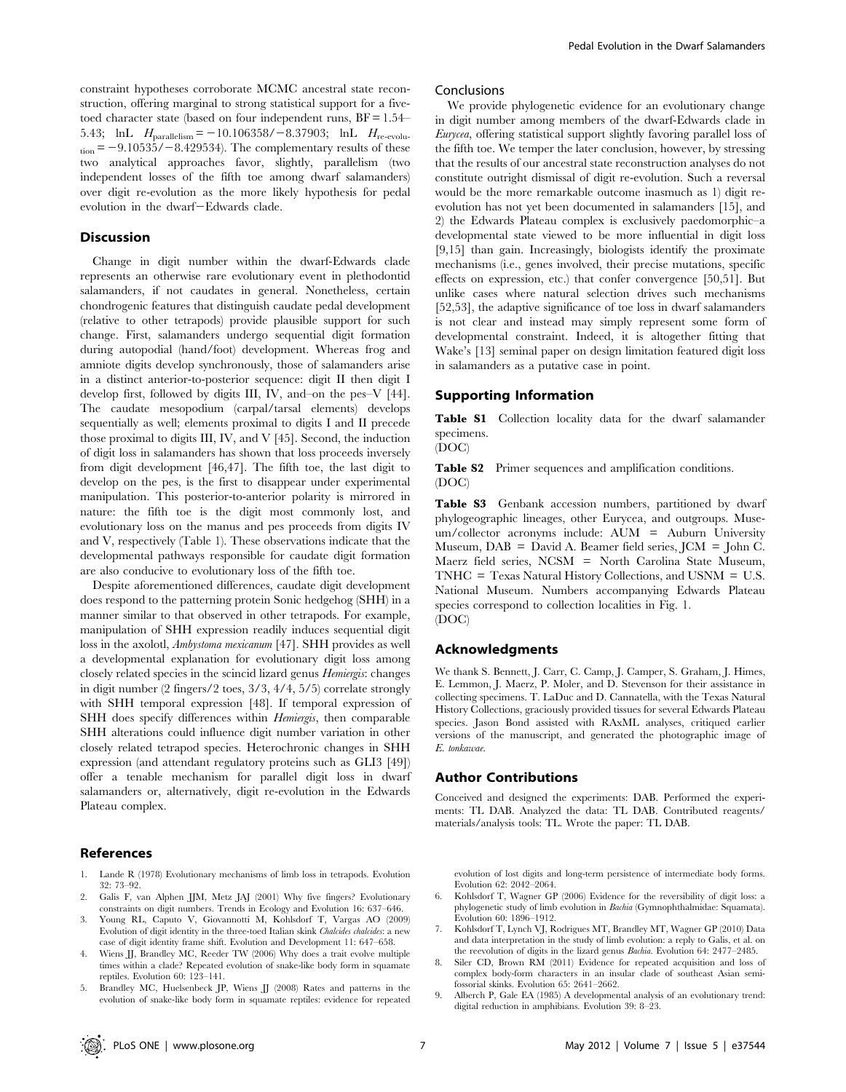constraint hypotheses corroborate MCMC ancestral state reconstruction, offering marginal to strong statistical support for a fivetoed character state (based on four independent runs, BF = 1.54– 5.43; lnL  $H_{\text{parallelism}} = -10.106358/-8.37903$ ; lnL  $H_{\text{re-evolu}}$  $t_{\text{tion}} = -9.10535/-8.429534$ . The complementary results of these two analytical approaches favor, slightly, parallelism (two independent losses of the fifth toe among dwarf salamanders) over digit re-evolution as the more likely hypothesis for pedal evolution in the dwarf-Edwards clade.

#### Discussion

Change in digit number within the dwarf-Edwards clade represents an otherwise rare evolutionary event in plethodontid salamanders, if not caudates in general. Nonetheless, certain chondrogenic features that distinguish caudate pedal development (relative to other tetrapods) provide plausible support for such change. First, salamanders undergo sequential digit formation during autopodial (hand/foot) development. Whereas frog and amniote digits develop synchronously, those of salamanders arise in a distinct anterior-to-posterior sequence: digit II then digit I develop first, followed by digits III, IV, and–on the pes–V [44]. The caudate mesopodium (carpal/tarsal elements) develops sequentially as well; elements proximal to digits I and II precede those proximal to digits III, IV, and V [45]. Second, the induction of digit loss in salamanders has shown that loss proceeds inversely from digit development [46,47]. The fifth toe, the last digit to develop on the pes, is the first to disappear under experimental manipulation. This posterior-to-anterior polarity is mirrored in nature: the fifth toe is the digit most commonly lost, and evolutionary loss on the manus and pes proceeds from digits IV and V, respectively (Table 1). These observations indicate that the developmental pathways responsible for caudate digit formation are also conducive to evolutionary loss of the fifth toe.

Despite aforementioned differences, caudate digit development does respond to the patterning protein Sonic hedgehog (SHH) in a manner similar to that observed in other tetrapods. For example, manipulation of SHH expression readily induces sequential digit loss in the axolotl, Ambystoma mexicanum [47]. SHH provides as well a developmental explanation for evolutionary digit loss among closely related species in the scincid lizard genus Hemiergis: changes in digit number (2 fingers/2 toes, 3/3, 4/4, 5/5) correlate strongly with SHH temporal expression [48]. If temporal expression of SHH does specify differences within *Hemiergis*, then comparable SHH alterations could influence digit number variation in other closely related tetrapod species. Heterochronic changes in SHH expression (and attendant regulatory proteins such as GLI3 [49]) offer a tenable mechanism for parallel digit loss in dwarf salamanders or, alternatively, digit re-evolution in the Edwards Plateau complex.

#### References

- 1. Lande R (1978) Evolutionary mechanisms of limb loss in tetrapods. Evolution 32: 73–92.
- 2. Galis F, van Alphen JJM, Metz JAJ (2001) Why five fingers? Evolutionary constraints on digit numbers. Trends in Ecology and Evolution 16: 637–646.
- 3. Young RL, Caputo V, Giovannotti M, Kohlsdorf T, Vargas AO (2009) Evolution of digit identity in the three-toed Italian skink Chalcides chalcides: a new case of digit identity frame shift. Evolution and Development 11: 647–658.
- Wiens JJ, Brandley MC, Reeder TW (2006) Why does a trait evolve multiple times within a clade? Repeated evolution of snake-like body form in squamate reptiles. Evolution 60: 123–141.

Pedal Evolution in the Dwarf Salamanders

We provide phylogenetic evidence for an evolutionary change in digit number among members of the dwarf-Edwards clade in Eurycea, offering statistical support slightly favoring parallel loss of the fifth toe. We temper the later conclusion, however, by stressing that the results of our ancestral state reconstruction analyses do not constitute outright dismissal of digit re-evolution. Such a reversal would be the more remarkable outcome inasmuch as 1) digit reevolution has not yet been documented in salamanders [15], and 2) the Edwards Plateau complex is exclusively paedomorphic–a developmental state viewed to be more influential in digit loss [9,15] than gain. Increasingly, biologists identify the proximate mechanisms (i.e., genes involved, their precise mutations, specific effects on expression, etc.) that confer convergence [50,51]. But unlike cases where natural selection drives such mechanisms [52,53], the adaptive significance of toe loss in dwarf salamanders is not clear and instead may simply represent some form of developmental constraint. Indeed, it is altogether fitting that Wake's [13] seminal paper on design limitation featured digit loss in salamanders as a putative case in point.

## Supporting Information

Table S1 Collection locality data for the dwarf salamander specimens.

(DOC)

Conclusions

Table S2 Primer sequences and amplification conditions. (DOC)

Table S3 Genbank accession numbers, partitioned by dwarf phylogeographic lineages, other Eurycea, and outgroups. Museum/collector acronyms include: AUM = Auburn University Museum, DAB = David A. Beamer field series, JCM = John C. Maerz field series, NCSM = North Carolina State Museum, TNHC = Texas Natural History Collections, and USNM = U.S. National Museum. Numbers accompanying Edwards Plateau species correspond to collection localities in Fig. 1. (DOC)

#### Acknowledgments

We thank S. Bennett, J. Carr, C. Camp, J. Camper, S. Graham, J. Himes, E. Lemmon, J. Maerz, P. Moler, and D. Stevenson for their assistance in collecting specimens. T. LaDuc and D. Cannatella, with the Texas Natural History Collections, graciously provided tissues for several Edwards Plateau species. Jason Bond assisted with RAxML analyses, critiqued earlier versions of the manuscript, and generated the photographic image of E. tonkawae.

#### Author Contributions

Conceived and designed the experiments: DAB. Performed the experiments: TL DAB. Analyzed the data: TL DAB. Contributed reagents/ materials/analysis tools: TL. Wrote the paper: TL DAB.

evolution of lost digits and long-term persistence of intermediate body forms. Evolution 62: 2042–2064.

- 6. Kohlsdorf T, Wagner GP (2006) Evidence for the reversibility of digit loss: a phylogenetic study of limb evolution in Bachia (Gymnophthalmidae: Squamata). Evolution 60: 1896–1912.
- 7. Kohlsdorf T, Lynch VJ, Rodrigues MT, Brandley MT, Wagner GP (2010) Data and data interpretation in the study of limb evolution: a reply to Galis, et al. on the reevolution of digits in the lizard genus Bachia. Evolution 64: 2477–2485.
- 8. Siler CD, Brown RM (2011) Evidence for repeated acquisition and loss of complex body-form characters in an insular clade of southeast Asian semifossorial skinks. Evolution 65: 2641–2662.
- 5. Brandley MC, Huelsenbeck JP, Wiens JJ (2008) Rates and patterns in the evolution of snake-like body form in squamate reptiles: evidence for repeated
- 9. Alberch P, Gale EA (1985) A developmental analysis of an evolutionary trend: digital reduction in amphibians. Evolution 39: 8–23.